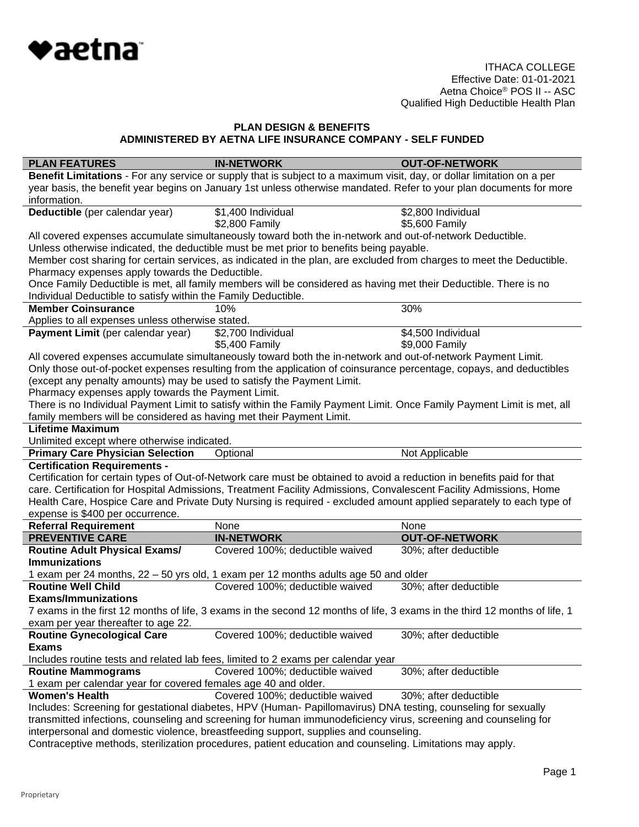

| <b>PLAN FEATURES</b>                                                                                                                                              | <b>IN-NETWORK</b>                                                                                                      | <b>OUT-OF-NETWORK</b> |  |
|-------------------------------------------------------------------------------------------------------------------------------------------------------------------|------------------------------------------------------------------------------------------------------------------------|-----------------------|--|
|                                                                                                                                                                   | Benefit Limitations - For any service or supply that is subject to a maximum visit, day, or dollar limitation on a per |                       |  |
|                                                                                                                                                                   | year basis, the benefit year begins on January 1st unless otherwise mandated. Refer to your plan documents for more    |                       |  |
| information.                                                                                                                                                      |                                                                                                                        |                       |  |
| Deductible (per calendar year)                                                                                                                                    | \$1,400 Individual                                                                                                     | \$2,800 Individual    |  |
|                                                                                                                                                                   | \$2,800 Family                                                                                                         | \$5,600 Family        |  |
|                                                                                                                                                                   | All covered expenses accumulate simultaneously toward both the in-network and out-of-network Deductible.               |                       |  |
|                                                                                                                                                                   | Unless otherwise indicated, the deductible must be met prior to benefits being payable.                                |                       |  |
| Pharmacy expenses apply towards the Deductible.                                                                                                                   | Member cost sharing for certain services, as indicated in the plan, are excluded from charges to meet the Deductible.  |                       |  |
|                                                                                                                                                                   | Once Family Deductible is met, all family members will be considered as having met their Deductible. There is no       |                       |  |
| Individual Deductible to satisfy within the Family Deductible.                                                                                                    |                                                                                                                        |                       |  |
| <b>Member Coinsurance</b>                                                                                                                                         | 10%                                                                                                                    | 30%                   |  |
| Applies to all expenses unless otherwise stated.                                                                                                                  |                                                                                                                        |                       |  |
| Payment Limit (per calendar year)                                                                                                                                 | \$2,700 Individual                                                                                                     | \$4,500 Individual    |  |
|                                                                                                                                                                   | \$5,400 Family                                                                                                         | \$9,000 Family        |  |
|                                                                                                                                                                   | All covered expenses accumulate simultaneously toward both the in-network and out-of-network Payment Limit.            |                       |  |
|                                                                                                                                                                   | Only those out-of-pocket expenses resulting from the application of coinsurance percentage, copays, and deductibles    |                       |  |
| (except any penalty amounts) may be used to satisfy the Payment Limit.                                                                                            |                                                                                                                        |                       |  |
| Pharmacy expenses apply towards the Payment Limit.                                                                                                                |                                                                                                                        |                       |  |
|                                                                                                                                                                   | There is no Individual Payment Limit to satisfy within the Family Payment Limit. Once Family Payment Limit is met, all |                       |  |
| family members will be considered as having met their Payment Limit.                                                                                              |                                                                                                                        |                       |  |
| <b>Lifetime Maximum</b>                                                                                                                                           |                                                                                                                        |                       |  |
| Unlimited except where otherwise indicated.                                                                                                                       |                                                                                                                        |                       |  |
| <b>Primary Care Physician Selection</b>                                                                                                                           | Optional                                                                                                               | Not Applicable        |  |
| <b>Certification Requirements -</b>                                                                                                                               |                                                                                                                        |                       |  |
|                                                                                                                                                                   | Certification for certain types of Out-of-Network care must be obtained to avoid a reduction in benefits paid for that |                       |  |
|                                                                                                                                                                   | care. Certification for Hospital Admissions, Treatment Facility Admissions, Convalescent Facility Admissions, Home     |                       |  |
|                                                                                                                                                                   | Health Care, Hospice Care and Private Duty Nursing is required - excluded amount applied separately to each type of    |                       |  |
| expense is \$400 per occurrence.                                                                                                                                  |                                                                                                                        |                       |  |
| <b>Referral Requirement</b>                                                                                                                                       | None                                                                                                                   | None                  |  |
| <b>PREVENTIVE CARE</b>                                                                                                                                            | <b>IN-NETWORK</b><br>Covered 100%; deductible waived                                                                   | <b>OUT-OF-NETWORK</b> |  |
| <b>Routine Adult Physical Exams/</b><br><b>Immunizations</b>                                                                                                      |                                                                                                                        | 30%; after deductible |  |
|                                                                                                                                                                   | 1 exam per 24 months, 22 - 50 yrs old, 1 exam per 12 months adults age 50 and older                                    |                       |  |
| <b>Routine Well Child</b>                                                                                                                                         | Covered 100%; deductible waived                                                                                        | 30%; after deductible |  |
| <b>Exams/Immunizations</b>                                                                                                                                        |                                                                                                                        |                       |  |
|                                                                                                                                                                   |                                                                                                                        |                       |  |
| 7 exams in the first 12 months of life, 3 exams in the second 12 months of life, 3 exams in the third 12 months of life, 1<br>exam per year thereafter to age 22. |                                                                                                                        |                       |  |
| <b>Routine Gynecological Care</b>                                                                                                                                 | Covered 100%; deductible waived                                                                                        | 30%; after deductible |  |
| <b>Exams</b>                                                                                                                                                      |                                                                                                                        |                       |  |
| Includes routine tests and related lab fees, limited to 2 exams per calendar year                                                                                 |                                                                                                                        |                       |  |
| <b>Routine Mammograms</b>                                                                                                                                         | Covered 100%; deductible waived                                                                                        | 30%; after deductible |  |
| 1 exam per calendar year for covered females age 40 and older.                                                                                                    |                                                                                                                        |                       |  |
| <b>Women's Health</b>                                                                                                                                             | Covered 100%; deductible waived                                                                                        | 30%; after deductible |  |
| Includes: Screening for gestational diabetes, HPV (Human- Papillomavirus) DNA testing, counseling for sexually                                                    |                                                                                                                        |                       |  |
| transmitted infections, counseling and screening for human immunodeficiency virus, screening and counseling for                                                   |                                                                                                                        |                       |  |
| interpersonal and domestic violence, breastfeeding support, supplies and counseling.                                                                              |                                                                                                                        |                       |  |

Contraceptive methods, sterilization procedures, patient education and counseling. Limitations may apply.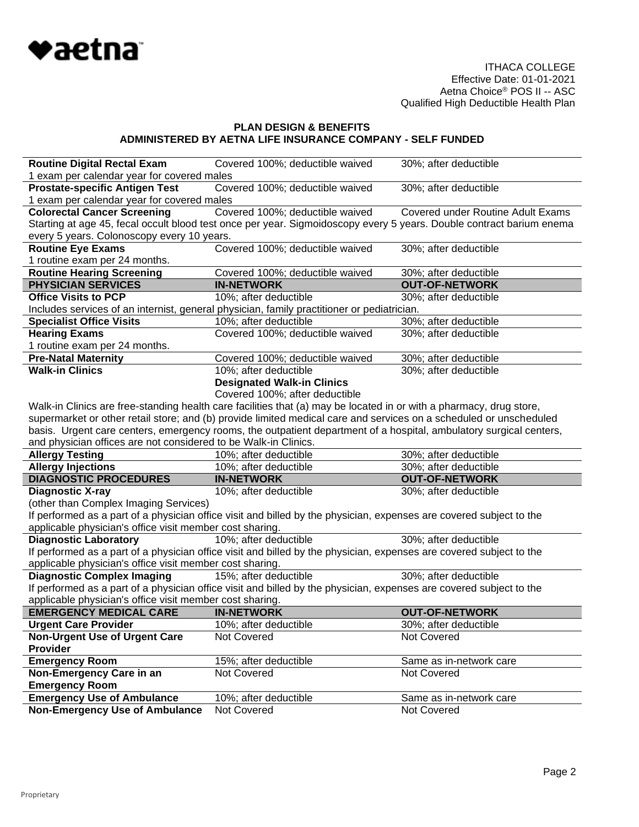

| <b>Routine Digital Rectal Exam</b>                              | Covered 100%; deductible waived                                                                                      | 30%; after deductible                    |  |  |
|-----------------------------------------------------------------|----------------------------------------------------------------------------------------------------------------------|------------------------------------------|--|--|
| 1 exam per calendar year for covered males                      |                                                                                                                      |                                          |  |  |
| <b>Prostate-specific Antigen Test</b>                           | Covered 100%; deductible waived                                                                                      | 30%; after deductible                    |  |  |
| 1 exam per calendar year for covered males                      |                                                                                                                      |                                          |  |  |
| <b>Colorectal Cancer Screening</b>                              | Covered 100%; deductible waived                                                                                      | <b>Covered under Routine Adult Exams</b> |  |  |
|                                                                 | Starting at age 45, fecal occult blood test once per year. Sigmoidoscopy every 5 years. Double contract barium enema |                                          |  |  |
| every 5 years. Colonoscopy every 10 years.                      |                                                                                                                      |                                          |  |  |
| <b>Routine Eye Exams</b>                                        | Covered 100%; deductible waived                                                                                      | 30%; after deductible                    |  |  |
| 1 routine exam per 24 months.                                   |                                                                                                                      |                                          |  |  |
| <b>Routine Hearing Screening</b>                                | Covered 100%; deductible waived                                                                                      | 30%; after deductible                    |  |  |
| <b>PHYSICIAN SERVICES</b>                                       | <b>IN-NETWORK</b>                                                                                                    | <b>OUT-OF-NETWORK</b>                    |  |  |
| <b>Office Visits to PCP</b>                                     | 10%; after deductible                                                                                                | 30%; after deductible                    |  |  |
|                                                                 | Includes services of an internist, general physician, family practitioner or pediatrician.                           |                                          |  |  |
| <b>Specialist Office Visits</b>                                 | 10%; after deductible                                                                                                | 30%; after deductible                    |  |  |
| <b>Hearing Exams</b>                                            | Covered 100%; deductible waived                                                                                      | 30%; after deductible                    |  |  |
| 1 routine exam per 24 months.                                   |                                                                                                                      |                                          |  |  |
| <b>Pre-Natal Maternity</b>                                      | Covered 100%; deductible waived                                                                                      | 30%; after deductible                    |  |  |
| <b>Walk-in Clinics</b>                                          | 10%; after deductible                                                                                                | 30%; after deductible                    |  |  |
|                                                                 | <b>Designated Walk-in Clinics</b>                                                                                    |                                          |  |  |
|                                                                 | Covered 100%; after deductible                                                                                       |                                          |  |  |
|                                                                 | Walk-in Clinics are free-standing health care facilities that (a) may be located in or with a pharmacy, drug store,  |                                          |  |  |
|                                                                 | supermarket or other retail store; and (b) provide limited medical care and services on a scheduled or unscheduled   |                                          |  |  |
|                                                                 | basis. Urgent care centers, emergency rooms, the outpatient department of a hospital, ambulatory surgical centers,   |                                          |  |  |
| and physician offices are not considered to be Walk-in Clinics. |                                                                                                                      |                                          |  |  |
| <b>Allergy Testing</b>                                          | 10%; after deductible                                                                                                | 30%; after deductible                    |  |  |
| <b>Allergy Injections</b>                                       | 10%; after deductible                                                                                                | 30%; after deductible                    |  |  |
| <b>DIAGNOSTIC PROCEDURES</b>                                    | <b>IN-NETWORK</b>                                                                                                    | <b>OUT-OF-NETWORK</b>                    |  |  |
| <b>Diagnostic X-ray</b>                                         | 10%; after deductible                                                                                                | 30%; after deductible                    |  |  |
| (other than Complex Imaging Services)                           |                                                                                                                      |                                          |  |  |
|                                                                 | If performed as a part of a physician office visit and billed by the physician, expenses are covered subject to the  |                                          |  |  |
| applicable physician's office visit member cost sharing.        |                                                                                                                      |                                          |  |  |
| <b>Diagnostic Laboratory</b>                                    | 10%; after deductible                                                                                                | 30%; after deductible                    |  |  |
|                                                                 | If performed as a part of a physician office visit and billed by the physician, expenses are covered subject to the  |                                          |  |  |
| applicable physician's office visit member cost sharing.        |                                                                                                                      |                                          |  |  |
| <b>Diagnostic Complex Imaging</b>                               | 15%; after deductible                                                                                                | 30%; after deductible                    |  |  |
|                                                                 | If performed as a part of a physician office visit and billed by the physician, expenses are covered subject to the  |                                          |  |  |
| applicable physician's office visit member cost sharing.        |                                                                                                                      |                                          |  |  |
| <b>EMERGENCY MEDICAL CARE</b>                                   | <b>IN-NETWORK</b>                                                                                                    | <b>OUT-OF-NETWORK</b>                    |  |  |
| <b>Urgent Care Provider</b>                                     | 10%; after deductible                                                                                                | 30%; after deductible                    |  |  |
| <b>Non-Urgent Use of Urgent Care</b>                            | Not Covered                                                                                                          | Not Covered                              |  |  |
| <b>Provider</b>                                                 |                                                                                                                      |                                          |  |  |
| <b>Emergency Room</b>                                           | 15%; after deductible                                                                                                | Same as in-network care                  |  |  |
| Non-Emergency Care in an                                        | Not Covered                                                                                                          | Not Covered                              |  |  |
| <b>Emergency Room</b>                                           |                                                                                                                      |                                          |  |  |
| <b>Emergency Use of Ambulance</b>                               | 10%; after deductible                                                                                                | Same as in-network care                  |  |  |
| <b>Non-Emergency Use of Ambulance</b>                           | Not Covered                                                                                                          | Not Covered                              |  |  |
|                                                                 |                                                                                                                      |                                          |  |  |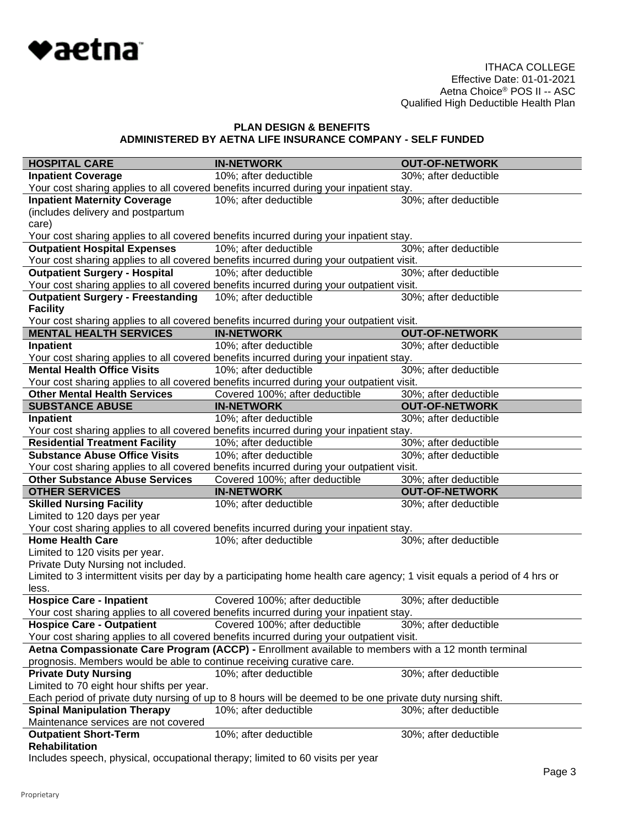

| <b>HOSPITAL CARE</b>                                                                                                                                                        | <b>IN-NETWORK</b>                                                                                                        | <b>OUT-OF-NETWORK</b> |  |  |
|-----------------------------------------------------------------------------------------------------------------------------------------------------------------------------|--------------------------------------------------------------------------------------------------------------------------|-----------------------|--|--|
| <b>Inpatient Coverage</b>                                                                                                                                                   | 10%; after deductible                                                                                                    | 30%; after deductible |  |  |
|                                                                                                                                                                             | Your cost sharing applies to all covered benefits incurred during your inpatient stay.                                   |                       |  |  |
| <b>Inpatient Maternity Coverage</b>                                                                                                                                         | 10%; after deductible                                                                                                    | 30%; after deductible |  |  |
| (includes delivery and postpartum                                                                                                                                           |                                                                                                                          |                       |  |  |
| care)                                                                                                                                                                       |                                                                                                                          |                       |  |  |
|                                                                                                                                                                             | Your cost sharing applies to all covered benefits incurred during your inpatient stay.                                   |                       |  |  |
| <b>Outpatient Hospital Expenses</b>                                                                                                                                         | 10%; after deductible                                                                                                    | 30%; after deductible |  |  |
|                                                                                                                                                                             | Your cost sharing applies to all covered benefits incurred during your outpatient visit.                                 |                       |  |  |
| <b>Outpatient Surgery - Hospital</b>                                                                                                                                        | 10%; after deductible                                                                                                    | 30%; after deductible |  |  |
|                                                                                                                                                                             | Your cost sharing applies to all covered benefits incurred during your outpatient visit.                                 |                       |  |  |
| <b>Outpatient Surgery - Freestanding</b>                                                                                                                                    | 10%; after deductible                                                                                                    | 30%; after deductible |  |  |
| <b>Facility</b>                                                                                                                                                             |                                                                                                                          |                       |  |  |
| <b>MENTAL HEALTH SERVICES</b>                                                                                                                                               | Your cost sharing applies to all covered benefits incurred during your outpatient visit.<br><b>IN-NETWORK</b>            | <b>OUT-OF-NETWORK</b> |  |  |
| Inpatient                                                                                                                                                                   | 10%; after deductible                                                                                                    | 30%; after deductible |  |  |
|                                                                                                                                                                             | Your cost sharing applies to all covered benefits incurred during your inpatient stay.                                   |                       |  |  |
| <b>Mental Health Office Visits</b>                                                                                                                                          | 10%; after deductible                                                                                                    | 30%; after deductible |  |  |
|                                                                                                                                                                             | Your cost sharing applies to all covered benefits incurred during your outpatient visit.                                 |                       |  |  |
| <b>Other Mental Health Services</b>                                                                                                                                         | Covered 100%; after deductible                                                                                           | 30%; after deductible |  |  |
| <b>SUBSTANCE ABUSE</b>                                                                                                                                                      | <b>IN-NETWORK</b>                                                                                                        | <b>OUT-OF-NETWORK</b> |  |  |
| Inpatient                                                                                                                                                                   | 10%; after deductible                                                                                                    | 30%; after deductible |  |  |
|                                                                                                                                                                             | Your cost sharing applies to all covered benefits incurred during your inpatient stay.                                   |                       |  |  |
| <b>Residential Treatment Facility</b>                                                                                                                                       | 10%; after deductible                                                                                                    | 30%; after deductible |  |  |
| <b>Substance Abuse Office Visits</b>                                                                                                                                        | 10%; after deductible                                                                                                    | 30%; after deductible |  |  |
|                                                                                                                                                                             | Your cost sharing applies to all covered benefits incurred during your outpatient visit.                                 |                       |  |  |
| <b>Other Substance Abuse Services</b>                                                                                                                                       | Covered 100%; after deductible                                                                                           | 30%; after deductible |  |  |
| <b>OTHER SERVICES</b>                                                                                                                                                       | <b>IN-NETWORK</b>                                                                                                        | <b>OUT-OF-NETWORK</b> |  |  |
| <b>Skilled Nursing Facility</b>                                                                                                                                             | 10%; after deductible                                                                                                    | 30%; after deductible |  |  |
| Limited to 120 days per year                                                                                                                                                |                                                                                                                          |                       |  |  |
|                                                                                                                                                                             | Your cost sharing applies to all covered benefits incurred during your inpatient stay.                                   |                       |  |  |
| <b>Home Health Care</b>                                                                                                                                                     | 10%; after deductible                                                                                                    | 30%; after deductible |  |  |
| Limited to 120 visits per year.                                                                                                                                             |                                                                                                                          |                       |  |  |
| Private Duty Nursing not included.                                                                                                                                          |                                                                                                                          |                       |  |  |
|                                                                                                                                                                             | Limited to 3 intermittent visits per day by a participating home health care agency; 1 visit equals a period of 4 hrs or |                       |  |  |
| less.                                                                                                                                                                       |                                                                                                                          |                       |  |  |
| <b>Hospice Care - Inpatient</b>                                                                                                                                             | Covered 100%; after deductible                                                                                           | 30%; after deductible |  |  |
|                                                                                                                                                                             | Your cost sharing applies to all covered benefits incurred during your inpatient stay.                                   | 30%; after deductible |  |  |
|                                                                                                                                                                             | Hospice Care - Outpatient Covered 100%; after deductible                                                                 |                       |  |  |
| Your cost sharing applies to all covered benefits incurred during your outpatient visit.                                                                                    |                                                                                                                          |                       |  |  |
| Aetna Compassionate Care Program (ACCP) - Enrollment available to members with a 12 month terminal<br>prognosis. Members would be able to continue receiving curative care. |                                                                                                                          |                       |  |  |
| <b>Private Duty Nursing</b>                                                                                                                                                 | 10%; after deductible                                                                                                    | 30%; after deductible |  |  |
| Limited to 70 eight hour shifts per year.                                                                                                                                   |                                                                                                                          |                       |  |  |
| Each period of private duty nursing of up to 8 hours will be deemed to be one private duty nursing shift.                                                                   |                                                                                                                          |                       |  |  |
|                                                                                                                                                                             |                                                                                                                          |                       |  |  |
|                                                                                                                                                                             |                                                                                                                          |                       |  |  |
| <b>Spinal Manipulation Therapy</b>                                                                                                                                          | 10%; after deductible                                                                                                    | 30%; after deductible |  |  |
| Maintenance services are not covered                                                                                                                                        |                                                                                                                          |                       |  |  |
| <b>Outpatient Short-Term</b><br><b>Rehabilitation</b>                                                                                                                       | 10%; after deductible                                                                                                    | 30%; after deductible |  |  |

Includes speech, physical, occupational therapy; limited to 60 visits per year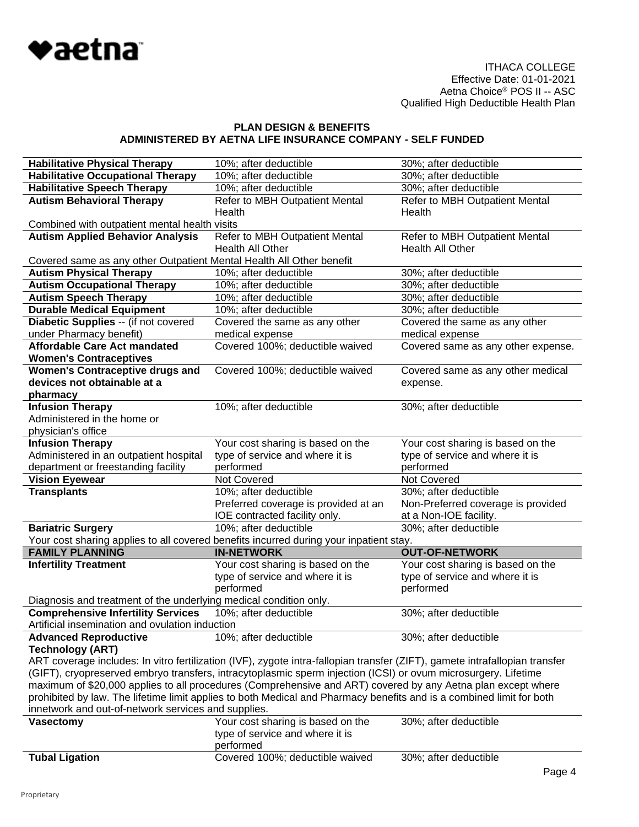

| <b>Habilitative Physical Therapy</b>                                                                                                                                                                                           | 10%; after deductible                                                                  | 30%; after deductible                              |  |  |
|--------------------------------------------------------------------------------------------------------------------------------------------------------------------------------------------------------------------------------|----------------------------------------------------------------------------------------|----------------------------------------------------|--|--|
| <b>Habilitative Occupational Therapy</b>                                                                                                                                                                                       | 10%; after deductible                                                                  | 30%; after deductible                              |  |  |
| <b>Habilitative Speech Therapy</b>                                                                                                                                                                                             | 10%; after deductible                                                                  | 30%; after deductible                              |  |  |
|                                                                                                                                                                                                                                | Refer to MBH Outpatient Mental                                                         |                                                    |  |  |
| <b>Autism Behavioral Therapy</b>                                                                                                                                                                                               |                                                                                        | Refer to MBH Outpatient Mental                     |  |  |
|                                                                                                                                                                                                                                | Health                                                                                 | Health                                             |  |  |
| Combined with outpatient mental health visits<br><b>Autism Applied Behavior Analysis</b>                                                                                                                                       | Refer to MBH Outpatient Mental                                                         |                                                    |  |  |
|                                                                                                                                                                                                                                | Health All Other                                                                       | Refer to MBH Outpatient Mental<br>Health All Other |  |  |
|                                                                                                                                                                                                                                |                                                                                        |                                                    |  |  |
| Covered same as any other Outpatient Mental Health All Other benefit                                                                                                                                                           |                                                                                        |                                                    |  |  |
| <b>Autism Physical Therapy</b>                                                                                                                                                                                                 | 10%; after deductible                                                                  | 30%; after deductible                              |  |  |
| <b>Autism Occupational Therapy</b>                                                                                                                                                                                             | 10%; after deductible                                                                  | 30%; after deductible<br>30%; after deductible     |  |  |
| <b>Autism Speech Therapy</b><br><b>Durable Medical Equipment</b>                                                                                                                                                               | 10%; after deductible<br>10%; after deductible                                         |                                                    |  |  |
|                                                                                                                                                                                                                                |                                                                                        | 30%; after deductible                              |  |  |
| Diabetic Supplies -- (if not covered                                                                                                                                                                                           | Covered the same as any other                                                          | Covered the same as any other                      |  |  |
| under Pharmacy benefit)                                                                                                                                                                                                        | medical expense                                                                        | medical expense                                    |  |  |
| <b>Affordable Care Act mandated</b>                                                                                                                                                                                            | Covered 100%; deductible waived                                                        | Covered same as any other expense.                 |  |  |
| <b>Women's Contraceptives</b>                                                                                                                                                                                                  |                                                                                        |                                                    |  |  |
| <b>Women's Contraceptive drugs and</b><br>devices not obtainable at a                                                                                                                                                          | Covered 100%; deductible waived                                                        | Covered same as any other medical                  |  |  |
|                                                                                                                                                                                                                                |                                                                                        | expense.                                           |  |  |
| pharmacy<br><b>Infusion Therapy</b>                                                                                                                                                                                            | 10%; after deductible                                                                  | 30%; after deductible                              |  |  |
| Administered in the home or                                                                                                                                                                                                    |                                                                                        |                                                    |  |  |
|                                                                                                                                                                                                                                |                                                                                        |                                                    |  |  |
| physician's office<br><b>Infusion Therapy</b>                                                                                                                                                                                  | Your cost sharing is based on the                                                      |                                                    |  |  |
|                                                                                                                                                                                                                                | type of service and where it is                                                        | Your cost sharing is based on the                  |  |  |
| Administered in an outpatient hospital                                                                                                                                                                                         |                                                                                        | type of service and where it is                    |  |  |
| department or freestanding facility                                                                                                                                                                                            | performed<br>Not Covered                                                               | performed<br>Not Covered                           |  |  |
| <b>Vision Eyewear</b>                                                                                                                                                                                                          |                                                                                        |                                                    |  |  |
| <b>Transplants</b>                                                                                                                                                                                                             | 10%; after deductible                                                                  | 30%; after deductible                              |  |  |
|                                                                                                                                                                                                                                | Preferred coverage is provided at an<br>IOE contracted facility only.                  | Non-Preferred coverage is provided                 |  |  |
| <b>Bariatric Surgery</b>                                                                                                                                                                                                       | 10%; after deductible                                                                  | at a Non-IOE facility.<br>30%; after deductible    |  |  |
|                                                                                                                                                                                                                                | Your cost sharing applies to all covered benefits incurred during your inpatient stay. |                                                    |  |  |
| <b>FAMILY PLANNING</b>                                                                                                                                                                                                         | <b>IN-NETWORK</b>                                                                      | <b>OUT-OF-NETWORK</b>                              |  |  |
| <b>Infertility Treatment</b>                                                                                                                                                                                                   | Your cost sharing is based on the                                                      | Your cost sharing is based on the                  |  |  |
|                                                                                                                                                                                                                                | type of service and where it is                                                        | type of service and where it is                    |  |  |
|                                                                                                                                                                                                                                | performed                                                                              | performed                                          |  |  |
| Diagnosis and treatment of the underlying medical condition only.                                                                                                                                                              |                                                                                        |                                                    |  |  |
| <b>Comprehensive Infertility Services</b>                                                                                                                                                                                      | 10%; after deductible                                                                  | 30%; after deductible                              |  |  |
| Artificial insemination and ovulation induction                                                                                                                                                                                |                                                                                        |                                                    |  |  |
| <b>Advanced Reproductive</b>                                                                                                                                                                                                   | 10%; after deductible                                                                  | 30%; after deductible                              |  |  |
| <b>Technology (ART)</b>                                                                                                                                                                                                        |                                                                                        |                                                    |  |  |
|                                                                                                                                                                                                                                |                                                                                        |                                                    |  |  |
| ART coverage includes: In vitro fertilization (IVF), zygote intra-fallopian transfer (ZIFT), gamete intrafallopian transfer                                                                                                    |                                                                                        |                                                    |  |  |
| (GIFT), cryopreserved embryo transfers, intracytoplasmic sperm injection (ICSI) or ovum microsurgery. Lifetime<br>maximum of \$20,000 applies to all procedures (Comprehensive and ART) covered by any Aetna plan except where |                                                                                        |                                                    |  |  |
| prohibited by law. The lifetime limit applies to both Medical and Pharmacy benefits and is a combined limit for both                                                                                                           |                                                                                        |                                                    |  |  |
| innetwork and out-of-network services and supplies.                                                                                                                                                                            |                                                                                        |                                                    |  |  |
| <b>Vasectomy</b>                                                                                                                                                                                                               | Your cost sharing is based on the                                                      | 30%; after deductible                              |  |  |
|                                                                                                                                                                                                                                |                                                                                        |                                                    |  |  |
|                                                                                                                                                                                                                                |                                                                                        |                                                    |  |  |
|                                                                                                                                                                                                                                | type of service and where it is                                                        |                                                    |  |  |
| <b>Tubal Ligation</b>                                                                                                                                                                                                          | performed<br>Covered 100%; deductible waived                                           | 30%; after deductible                              |  |  |

Page 4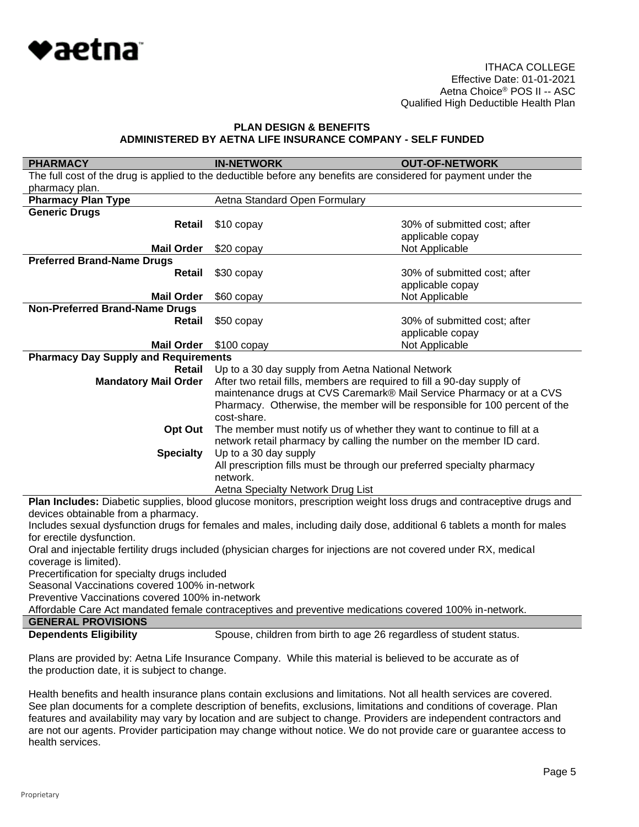

| <b>PHARMACY</b>                             | <b>IN-NETWORK</b>                                                                                               | <b>OUT-OF-NETWORK</b>                             |  |
|---------------------------------------------|-----------------------------------------------------------------------------------------------------------------|---------------------------------------------------|--|
|                                             | The full cost of the drug is applied to the deductible before any benefits are considered for payment under the |                                                   |  |
| pharmacy plan.                              |                                                                                                                 |                                                   |  |
| <b>Pharmacy Plan Type</b>                   | Aetna Standard Open Formulary                                                                                   |                                                   |  |
| <b>Generic Drugs</b>                        |                                                                                                                 |                                                   |  |
| Retail                                      | \$10 copay                                                                                                      | 30% of submitted cost; after                      |  |
|                                             |                                                                                                                 | applicable copay                                  |  |
| <b>Mail Order</b>                           | $$20$ copay                                                                                                     | Not Applicable                                    |  |
| <b>Preferred Brand-Name Drugs</b>           |                                                                                                                 |                                                   |  |
| Retail                                      | \$30 copay                                                                                                      | 30% of submitted cost; after                      |  |
|                                             |                                                                                                                 | applicable copay                                  |  |
| <b>Mail Order</b>                           | \$60 copay                                                                                                      | Not Applicable                                    |  |
| <b>Non-Preferred Brand-Name Drugs</b>       |                                                                                                                 |                                                   |  |
| Retail                                      | \$50 copay                                                                                                      | 30% of submitted cost; after                      |  |
|                                             |                                                                                                                 | applicable copay                                  |  |
| <b>Mail Order</b>                           | $$100$ copay                                                                                                    | Not Applicable                                    |  |
| <b>Pharmacy Day Supply and Requirements</b> |                                                                                                                 |                                                   |  |
| Retail                                      |                                                                                                                 | Up to a 30 day supply from Aetna National Network |  |
| <b>Mandatory Mail Order</b>                 | After two retail fills, members are required to fill a 90-day supply of                                         |                                                   |  |
|                                             | maintenance drugs at CVS Caremark® Mail Service Pharmacy or at a CVS                                            |                                                   |  |
|                                             | Pharmacy. Otherwise, the member will be responsible for 100 percent of the                                      |                                                   |  |
|                                             | cost-share.                                                                                                     |                                                   |  |
| Opt Out                                     | The member must notify us of whether they want to continue to fill at a                                         |                                                   |  |
|                                             | network retail pharmacy by calling the number on the member ID card.                                            |                                                   |  |
| <b>Specialty</b>                            | Up to a 30 day supply                                                                                           |                                                   |  |
|                                             | All prescription fills must be through our preferred specialty pharmacy                                         |                                                   |  |
|                                             | network.                                                                                                        |                                                   |  |
|                                             | Aetna Specialty Network Drug List                                                                               |                                                   |  |

**Plan Includes:** Diabetic supplies, blood glucose monitors, prescription weight loss drugs and contraceptive drugs and devices obtainable from a pharmacy.

Includes sexual dysfunction drugs for females and males, including daily dose, additional 6 tablets a month for males for erectile dysfunction.

Oral and injectable fertility drugs included (physician charges for injections are not covered under RX, medical coverage is limited).

Precertification for specialty drugs included

Seasonal Vaccinations covered 100% in-network

Preventive Vaccinations covered 100% in-network

Affordable Care Act mandated female contraceptives and preventive medications covered 100% in-network.

# **GENERAL PROVISIONS**

**Dependents Eligibility** Spouse, children from birth to age 26 regardless of student status.

Plans are provided by: Aetna Life Insurance Company. While this material is believed to be accurate as of the production date, it is subject to change.

Health benefits and health insurance plans contain exclusions and limitations. Not all health services are covered. See plan documents for a complete description of benefits, exclusions, limitations and conditions of coverage. Plan features and availability may vary by location and are subject to change. Providers are independent contractors and are not our agents. Provider participation may change without notice. We do not provide care or guarantee access to health services.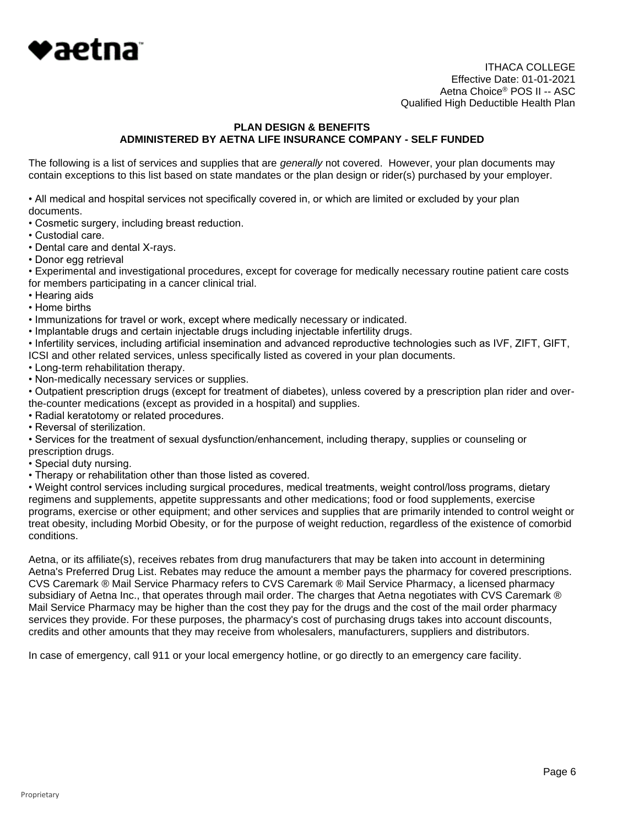

ITHACA COLLEGE Effective Date: 01-01-2021 Aetna Choice® POS II -- ASC Qualified High Deductible Health Plan

# **PLAN DESIGN & BENEFITS ADMINISTERED BY AETNA LIFE INSURANCE COMPANY - SELF FUNDED**

The following is a list of services and supplies that are *generally* not covered. However, your plan documents may contain exceptions to this list based on state mandates or the plan design or rider(s) purchased by your employer.

• All medical and hospital services not specifically covered in, or which are limited or excluded by your plan documents.

- Cosmetic surgery, including breast reduction.
- Custodial care.
- Dental care and dental X-rays.
- Donor egg retrieval

• Experimental and investigational procedures, except for coverage for medically necessary routine patient care costs for members participating in a cancer clinical trial.

- Hearing aids
- Home births
- Immunizations for travel or work, except where medically necessary or indicated.

• Implantable drugs and certain injectable drugs including injectable infertility drugs.

• Infertility services, including artificial insemination and advanced reproductive technologies such as IVF, ZIFT, GIFT, ICSI and other related services, unless specifically listed as covered in your plan documents.

- Long-term rehabilitation therapy.
- Non-medically necessary services or supplies.

• Outpatient prescription drugs (except for treatment of diabetes), unless covered by a prescription plan rider and overthe-counter medications (except as provided in a hospital) and supplies.

- Radial keratotomy or related procedures.
- Reversal of sterilization.

• Services for the treatment of sexual dysfunction/enhancement, including therapy, supplies or counseling or prescription drugs.

- Special duty nursing.
- Therapy or rehabilitation other than those listed as covered.

• Weight control services including surgical procedures, medical treatments, weight control/loss programs, dietary regimens and supplements, appetite suppressants and other medications; food or food supplements, exercise programs, exercise or other equipment; and other services and supplies that are primarily intended to control weight or treat obesity, including Morbid Obesity, or for the purpose of weight reduction, regardless of the existence of comorbid conditions.

Aetna, or its affiliate(s), receives rebates from drug manufacturers that may be taken into account in determining Aetna's Preferred Drug List. Rebates may reduce the amount a member pays the pharmacy for covered prescriptions. CVS Caremark ® Mail Service Pharmacy refers to CVS Caremark ® Mail Service Pharmacy, a licensed pharmacy subsidiary of Aetna Inc., that operates through mail order. The charges that Aetna negotiates with CVS Caremark ® Mail Service Pharmacy may be higher than the cost they pay for the drugs and the cost of the mail order pharmacy services they provide. For these purposes, the pharmacy's cost of purchasing drugs takes into account discounts, credits and other amounts that they may receive from wholesalers, manufacturers, suppliers and distributors.

In case of emergency, call 911 or your local emergency hotline, or go directly to an emergency care facility.